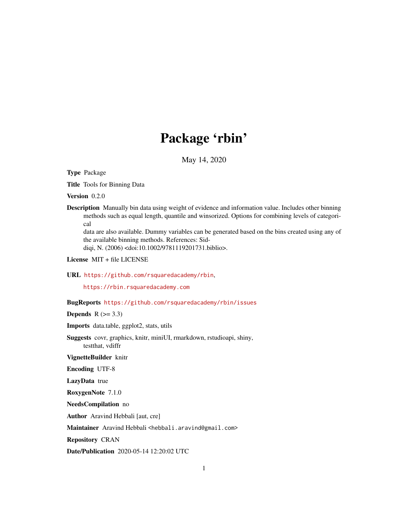## Package 'rbin'

May 14, 2020

Type Package

Title Tools for Binning Data

Version 0.2.0

Description Manually bin data using weight of evidence and information value. Includes other binning methods such as equal length, quantile and winsorized. Options for combining levels of categorical data are also available. Dummy variables can be generated based on the bins created using any of

the available binning methods. References: Sid-

diqi, N. (2006) <doi:10.1002/9781119201731.biblio>.

License MIT + file LICENSE

#### URL <https://github.com/rsquaredacademy/rbin>,

<https://rbin.rsquaredacademy.com>

#### BugReports <https://github.com/rsquaredacademy/rbin/issues>

**Depends**  $R$  ( $>= 3.3$ )

Imports data.table, ggplot2, stats, utils

Suggests covr, graphics, knitr, miniUI, rmarkdown, rstudioapi, shiny, testthat, vdiffr

VignetteBuilder knitr

Encoding UTF-8

LazyData true

RoxygenNote 7.1.0

NeedsCompilation no

Author Aravind Hebbali [aut, cre]

Maintainer Aravind Hebbali <hebbali.aravind@gmail.com>

Repository CRAN

Date/Publication 2020-05-14 12:20:02 UTC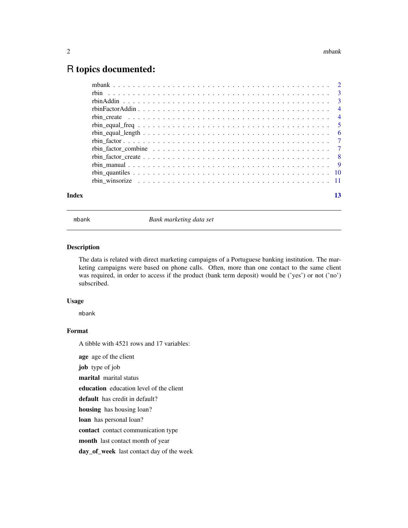### <span id="page-1-0"></span>R topics documented:

| Index |  |
|-------|--|

mbank *Bank marketing data set*

#### Description

The data is related with direct marketing campaigns of a Portuguese banking institution. The marketing campaigns were based on phone calls. Often, more than one contact to the same client was required, in order to access if the product (bank term deposit) would be ('yes') or not ('no') subscribed.

#### Usage

mbank

#### Format

A tibble with 4521 rows and 17 variables:

age age of the client

job type of job

marital marital status

education education level of the client

default has credit in default?

housing has housing loan?

loan has personal loan?

contact contact communication type

month last contact month of year

day\_of\_week last contact day of the week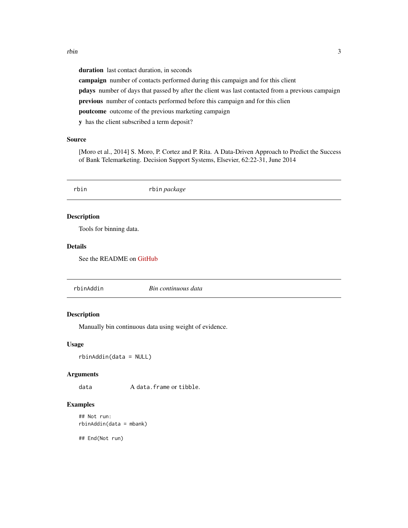<span id="page-2-0"></span>duration last contact duration, in seconds campaign number of contacts performed during this campaign and for this client pdays number of days that passed by after the client was last contacted from a previous campaign previous number of contacts performed before this campaign and for this clien poutcome outcome of the previous marketing campaign y has the client subscribed a term deposit?

#### Source

[Moro et al., 2014] S. Moro, P. Cortez and P. Rita. A Data-Driven Approach to Predict the Success of Bank Telemarketing. Decision Support Systems, Elsevier, 62:22-31, June 2014

| rbin                    | rbin package             |  |
|-------------------------|--------------------------|--|
| <b>Description</b>      |                          |  |
| Tools for binning data. |                          |  |
| <b>Details</b>          |                          |  |
|                         | See the README on GitHub |  |
|                         |                          |  |
|                         |                          |  |

#### Description

Manually bin continuous data using weight of evidence.

#### Usage

rbinAddin(data = NULL)

#### Arguments

data A data.frame or tibble.

rbinAddin *Bin continuous data*

#### Examples

```
## Not run:
rbinAddin(data = mbank)
```
## End(Not run)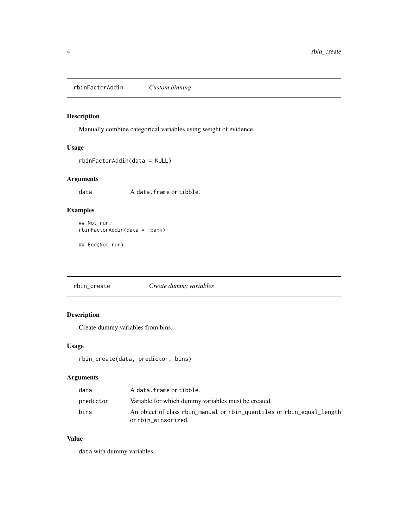<span id="page-3-0"></span>rbinFactorAddin *Custom binning*

#### Description

Manually combine categorical variables using weight of evidence.

#### Usage

```
rbinFactorAddin(data = NULL)
```
#### Arguments

data A data.frame or tibble.

#### Examples

```
## Not run:
rbinFactorAddin(data = mbank)
```
## End(Not run)

rbin\_create *Create dummy variables*

#### Description

Create dummy variables from bins.

#### Usage

```
rbin_create(data, predictor, bins)
```
#### Arguments

| data      | A data.frame or tibble.                                                                      |
|-----------|----------------------------------------------------------------------------------------------|
| predictor | Variable for which dummy variables must be created.                                          |
| bins      | An object of class rbin_manual or rbin_quantiles or rbin_equal_length<br>or rbin_winsorized. |

#### Value

data with dummy variables.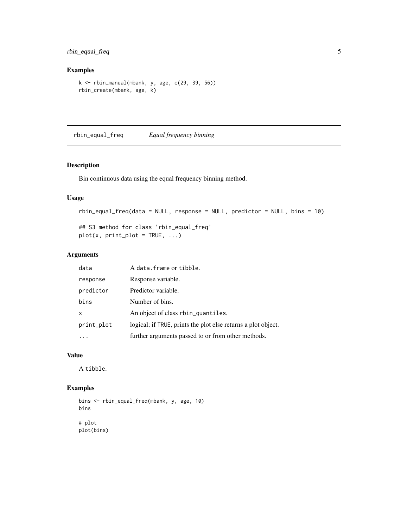#### <span id="page-4-0"></span>rbin\_equal\_freq 5

#### Examples

```
k <- rbin_manual(mbank, y, age, c(29, 39, 56))
rbin_create(mbank, age, k)
```
rbin\_equal\_freq *Equal frequency binning*

#### Description

Bin continuous data using the equal frequency binning method.

#### Usage

```
rbin_equal_freq(data = NULL, response = NULL, predictor = NULL, bins = 10)
```

```
## S3 method for class 'rbin_equal_freq'
plot(x, print\_plot = TRUE, ...)
```
#### Arguments

| data       | A data. frame or tibble.                                      |
|------------|---------------------------------------------------------------|
| response   | Response variable.                                            |
| predictor  | Predictor variable.                                           |
| bins       | Number of bins.                                               |
| x          | An object of class rbin_quantiles.                            |
| print_plot | logical; if TRUE, prints the plot else returns a plot object. |
|            | further arguments passed to or from other methods.            |

#### Value

A tibble.

```
bins <- rbin_equal_freq(mbank, y, age, 10)
bins
# plot
plot(bins)
```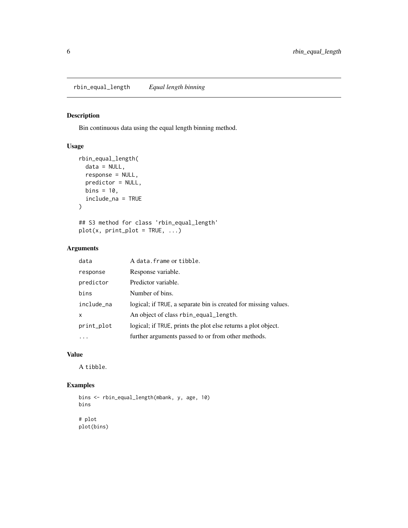#### <span id="page-5-0"></span>Description

Bin continuous data using the equal length binning method.

#### Usage

```
rbin_equal_length(
 data = NULL,
  response = NULL,
 predictor = NULL,
 bins = 10,
  include_na = TRUE
\mathcal{L}## S3 method for class 'rbin_equal_length'
plot(x, print\_plot = TRUE, ...)
```
#### Arguments

| data       | A data. frame or tibble.                                        |
|------------|-----------------------------------------------------------------|
| response   | Response variable.                                              |
| predictor  | Predictor variable.                                             |
| bins       | Number of bins.                                                 |
| include_na | logical; if TRUE, a separate bin is created for missing values. |
| X          | An object of class rbin_equal_length.                           |
| print_plot | logical; if TRUE, prints the plot else returns a plot object.   |
|            | further arguments passed to or from other methods.              |

#### Value

A tibble.

```
bins <- rbin_equal_length(mbank, y, age, 10)
bins
# plot
plot(bins)
```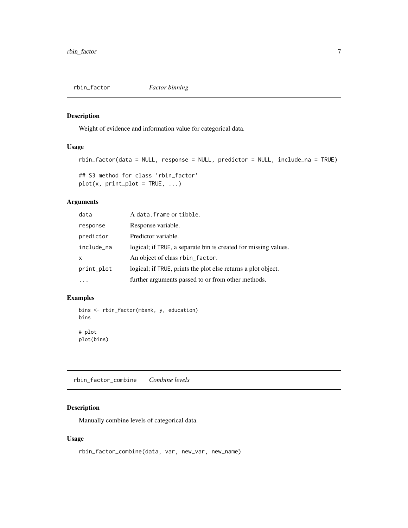<span id="page-6-0"></span>

#### Description

Weight of evidence and information value for categorical data.

#### Usage

```
rbin_factor(data = NULL, response = NULL, predictor = NULL, include_na = TRUE)
## S3 method for class 'rbin_factor'
plot(x, print\_plot = TRUE, ...)
```
#### Arguments

| data       | A data. frame or tibble.                                        |
|------------|-----------------------------------------------------------------|
| response   | Response variable.                                              |
| predictor  | Predictor variable.                                             |
| include_na | logical; if TRUE, a separate bin is created for missing values. |
| X          | An object of class rbin_factor.                                 |
| print_plot | logical; if TRUE, prints the plot else returns a plot object.   |
|            | further arguments passed to or from other methods.              |

#### Examples

```
bins <- rbin_factor(mbank, y, education)
bins
# plot
plot(bins)
```
rbin\_factor\_combine *Combine levels*

#### Description

Manually combine levels of categorical data.

#### Usage

```
rbin_factor_combine(data, var, new_var, new_name)
```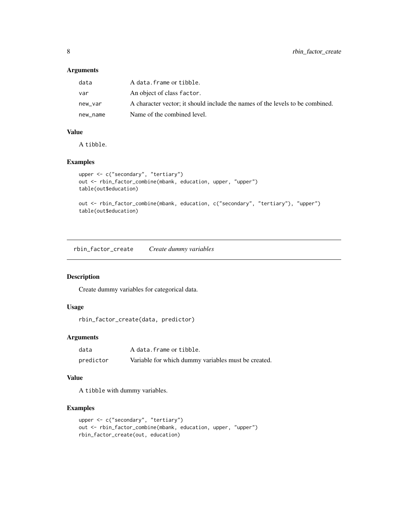#### Arguments

| data     | A data.frame or tibble.                                                       |
|----------|-------------------------------------------------------------------------------|
| var      | An object of class factor.                                                    |
| new_var  | A character vector; it should include the names of the levels to be combined. |
| new name | Name of the combined level.                                                   |

#### Value

A tibble.

#### Examples

```
upper <- c("secondary", "tertiary")
out <- rbin_factor_combine(mbank, education, upper, "upper")
table(out$education)
```

```
out <- rbin_factor_combine(mbank, education, c("secondary", "tertiary"), "upper")
table(out$education)
```
rbin\_factor\_create *Create dummy variables*

#### Description

Create dummy variables for categorical data.

#### Usage

```
rbin_factor_create(data, predictor)
```
#### Arguments

| data      | A data.frame or tibble.                             |
|-----------|-----------------------------------------------------|
| predictor | Variable for which dummy variables must be created. |

#### Value

A tibble with dummy variables.

```
upper <- c("secondary", "tertiary")
out <- rbin_factor_combine(mbank, education, upper, "upper")
rbin_factor_create(out, education)
```
<span id="page-7-0"></span>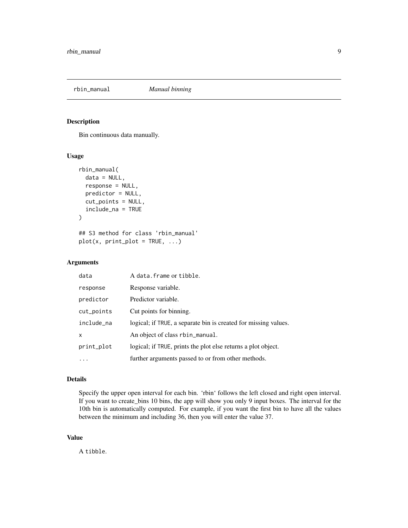<span id="page-8-0"></span>

#### Description

Bin continuous data manually.

#### Usage

```
rbin_manual(
  data = NULL,response = NULL,
  predictor = NULL,
  cut_points = NULL,
  include_na = TRUE
\mathcal{L}## S3 method for class 'rbin_manual'
plot(x, print\_plot = TRUE, ...)
```
#### Arguments

| data       | A data. frame or tibble.                                        |
|------------|-----------------------------------------------------------------|
| response   | Response variable.                                              |
| predictor  | Predictor variable.                                             |
| cut_points | Cut points for binning.                                         |
| include_na | logical; if TRUE, a separate bin is created for missing values. |
| X          | An object of class rbin_manual.                                 |
| print_plot | logical; if TRUE, prints the plot else returns a plot object.   |
|            | further arguments passed to or from other methods.              |

#### Details

Specify the upper open interval for each bin. 'rbin' follows the left closed and right open interval. If you want to create\_bins 10 bins, the app will show you only 9 input boxes. The interval for the 10th bin is automatically computed. For example, if you want the first bin to have all the values between the minimum and including 36, then you will enter the value 37.

#### Value

A tibble.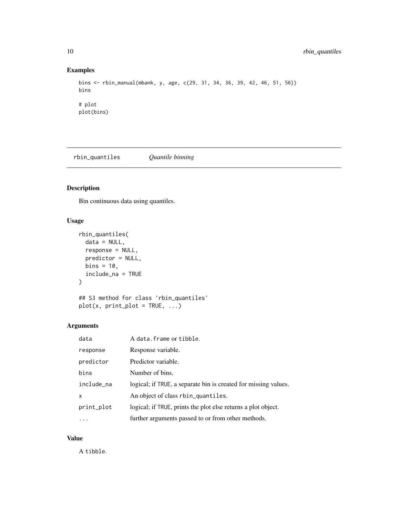#### Examples

```
bins <- rbin_manual(mbank, y, age, c(29, 31, 34, 36, 39, 42, 46, 51, 56))
bins
# plot
plot(bins)
```
rbin\_quantiles *Quantile binning*

#### Description

Bin continuous data using quantiles.

#### Usage

```
rbin_quantiles(
  data = NULL,
  response = NULL,
 predictor = NULL,
 bins = 10,
  include_na = TRUE
)
```

```
## S3 method for class 'rbin_quantiles'
plot(x, print\_plot = TRUE, ...)
```
#### Arguments

| data       | A data. frame or tibble.                                        |
|------------|-----------------------------------------------------------------|
| response   | Response variable.                                              |
| predictor  | Predictor variable.                                             |
| bins       | Number of bins.                                                 |
| include_na | logical; if TRUE, a separate bin is created for missing values. |
| X          | An object of class rbin_quantiles.                              |
| print_plot | logical; if TRUE, prints the plot else returns a plot object.   |
| $\cdots$   | further arguments passed to or from other methods.              |

#### Value

A tibble.

<span id="page-9-0"></span>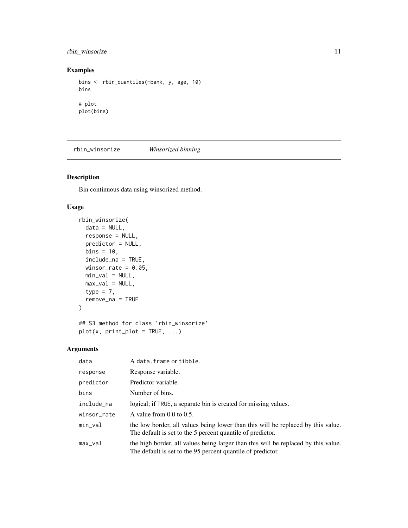#### <span id="page-10-0"></span>rbin\_winsorize 11

#### Examples

```
bins <- rbin_quantiles(mbank, y, age, 10)
bins
# plot
plot(bins)
```
rbin\_winsorize *Winsorized binning*

#### Description

Bin continuous data using winsorized method.

#### Usage

```
rbin_winsorize(
 data = NULL,
  response = NULL,
 predictor = NULL,
 bins = 10,
  include_na = TRUE,
 winsor_rate = 0.05,
 min\_val = NULL,
 max_val = NULL,type = 7,
  remove_na = TRUE
)
## S3 method for class 'rbin_winsorize'
```

```
plot(x, print\_plot = TRUE, ...)
```
#### Arguments

| data        | A data. frame or tibble.                                                                                                                          |
|-------------|---------------------------------------------------------------------------------------------------------------------------------------------------|
| response    | Response variable.                                                                                                                                |
| predictor   | Predictor variable.                                                                                                                               |
| bins        | Number of bins.                                                                                                                                   |
| include_na  | logical; if TRUE, a separate bin is created for missing values.                                                                                   |
| winsor_rate | A value from $0.0$ to $0.5$ .                                                                                                                     |
| min_val     | the low border, all values being lower than this will be replaced by this value.<br>The default is set to the 5 percent quantile of predictor.    |
| $max\_val$  | the high border, all values being larger than this will be replaced by this value.<br>The default is set to the 95 percent quantile of predictor. |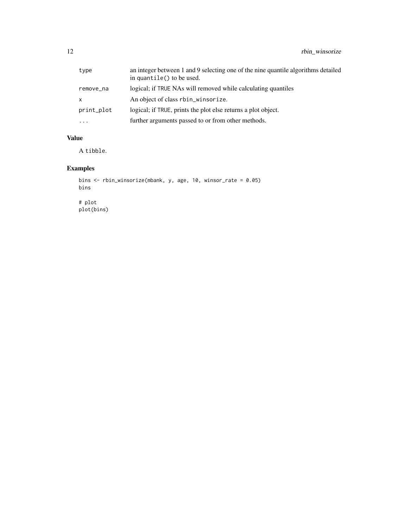| type       | an integer between 1 and 9 selecting one of the nine quantile algorithms detailed<br>in quantile() to be used. |
|------------|----------------------------------------------------------------------------------------------------------------|
| remove_na  | logical; if TRUE NAs will removed while calculating quantiles                                                  |
| x          | An object of class rbin_winsorize.                                                                             |
| print_plot | logical; if TRUE, prints the plot else returns a plot object.                                                  |
| $\cdots$   | further arguments passed to or from other methods.                                                             |

#### Value

A tibble.

```
bins <- rbin_winsorize(mbank, y, age, 10, winsor_rate = 0.05)
bins
# plot
plot(bins)
```